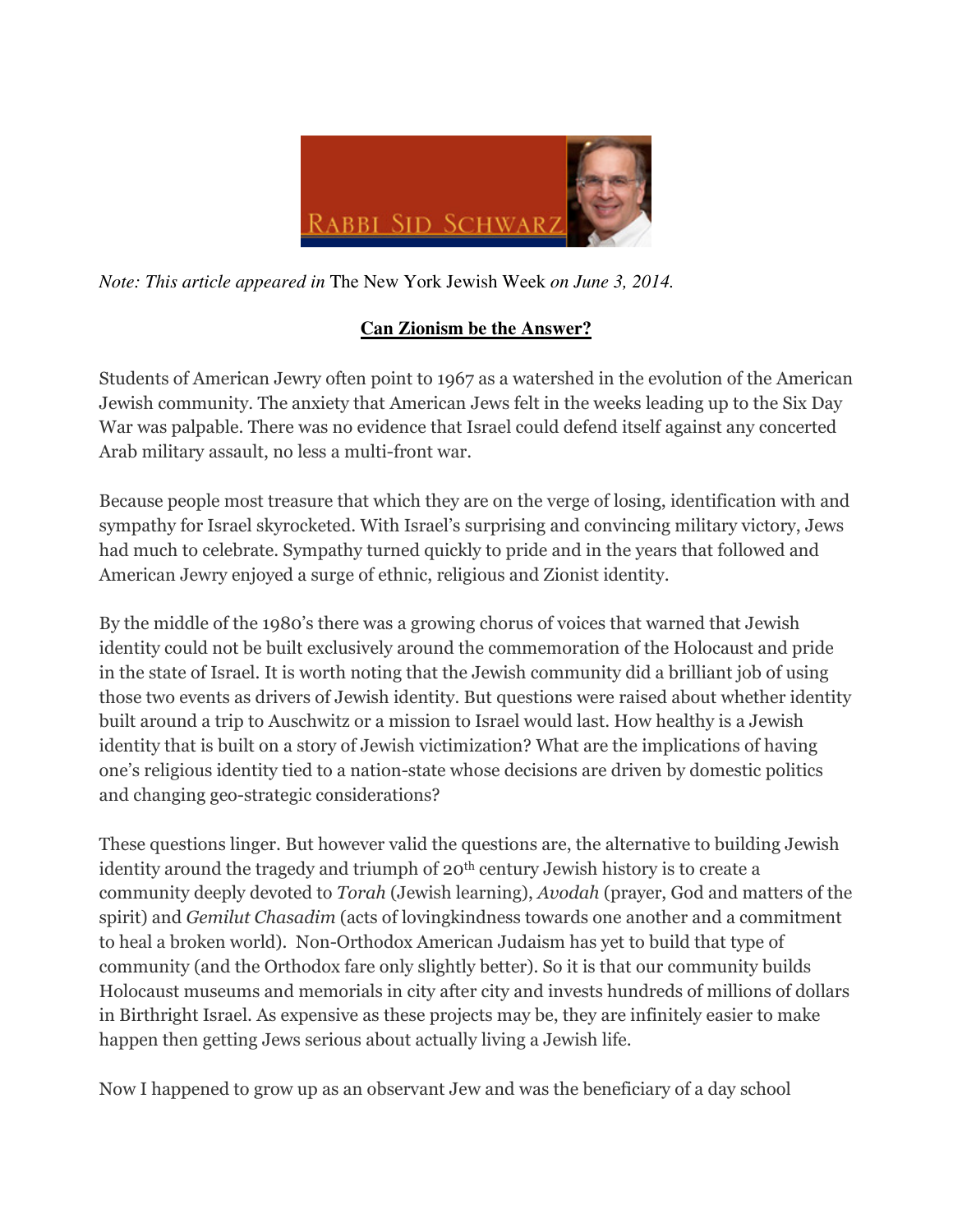

*Note: This article appeared in* The New York Jewish Week *on June 3, 2014.* 

## **Can Zionism be the Answer?**

Students of American Jewry often point to 1967 as a watershed in the evolution of the American Jewish community. The anxiety that American Jews felt in the weeks leading up to the Six Day War was palpable. There was no evidence that Israel could defend itself against any concerted Arab military assault, no less a multi-front war.

Because people most treasure that which they are on the verge of losing, identification with and sympathy for Israel skyrocketed. With Israel's surprising and convincing military victory, Jews had much to celebrate. Sympathy turned quickly to pride and in the years that followed and American Jewry enjoyed a surge of ethnic, religious and Zionist identity.

By the middle of the 1980's there was a growing chorus of voices that warned that Jewish identity could not be built exclusively around the commemoration of the Holocaust and pride in the state of Israel. It is worth noting that the Jewish community did a brilliant job of using those two events as drivers of Jewish identity. But questions were raised about whether identity built around a trip to Auschwitz or a mission to Israel would last. How healthy is a Jewish identity that is built on a story of Jewish victimization? What are the implications of having one's religious identity tied to a nation-state whose decisions are driven by domestic politics and changing geo-strategic considerations?

These questions linger. But however valid the questions are, the alternative to building Jewish identity around the tragedy and triumph of 20th century Jewish history is to create a community deeply devoted to Torah (Jewish learning), Avodah (prayer, God and matters of the spirit) and Gemilut Chasadim (acts of lovingkindness towards one another and a commitment to heal a broken world). Non-Orthodox American Judaism has yet to build that type of community (and the Orthodox fare only slightly better). So it is that our community builds Holocaust museums and memorials in city after city and invests hundreds of millions of dollars in Birthright Israel. As expensive as these projects may be, they are infinitely easier to make happen then getting Jews serious about actually living a Jewish life.

Now I happened to grow up as an observant Jew and was the beneficiary of a day school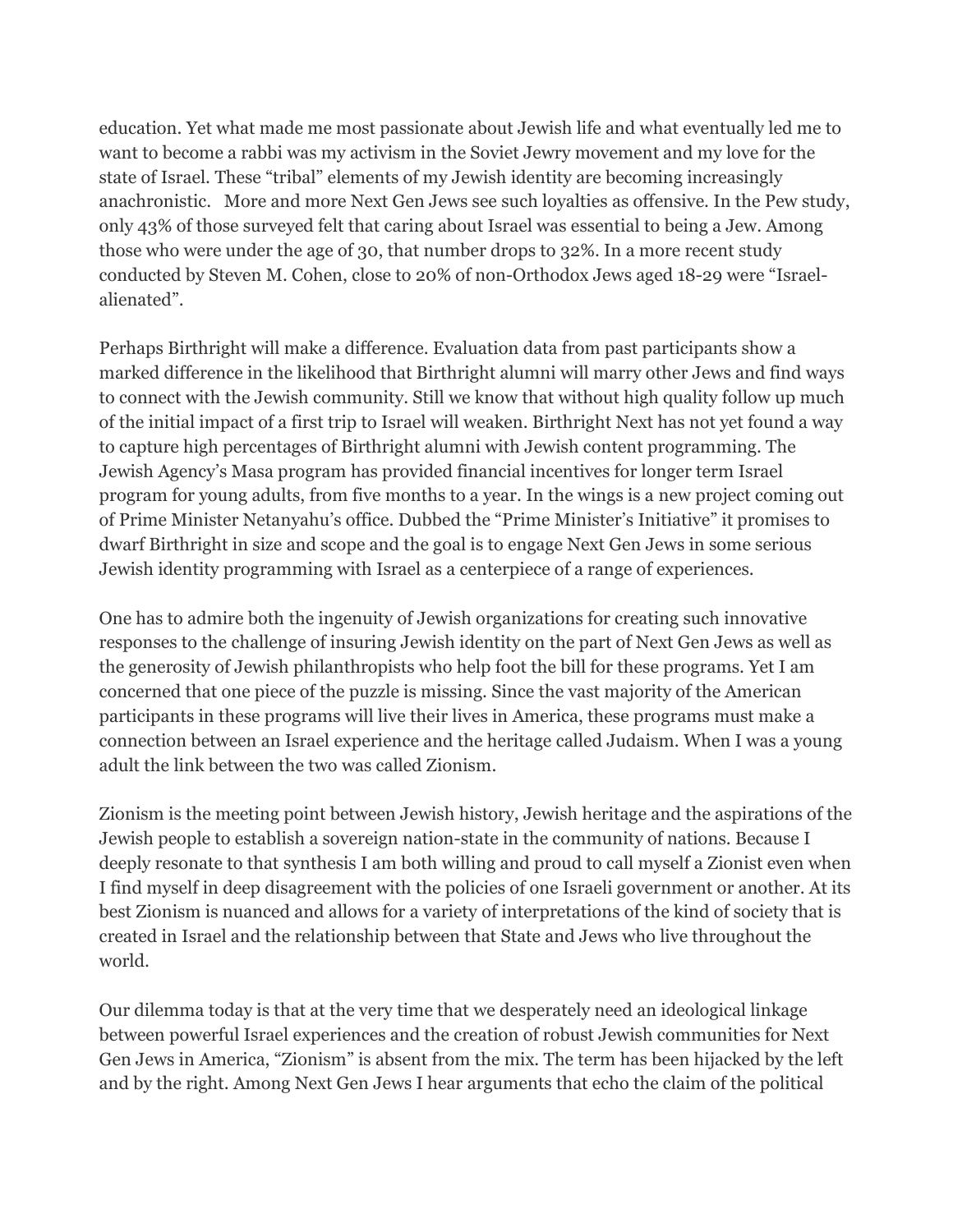education. Yet what made me most passionate about Jewish life and what eventually led me to want to become a rabbi was my activism in the Soviet Jewry movement and my love for the state of Israel. These "tribal" elements of my Jewish identity are becoming increasingly anachronistic. More and more Next Gen Jews see such loyalties as offensive. In the Pew study, only 43% of those surveyed felt that caring about Israel was essential to being a Jew. Among those who were under the age of 30, that number drops to 32%. In a more recent study conducted by Steven M. Cohen, close to 20% of non-Orthodox Jews aged 18-29 were "Israelalienated".

Perhaps Birthright will make a difference. Evaluation data from past participants show a marked difference in the likelihood that Birthright alumni will marry other Jews and find ways to connect with the Jewish community. Still we know that without high quality follow up much of the initial impact of a first trip to Israel will weaken. Birthright Next has not yet found a way to capture high percentages of Birthright alumni with Jewish content programming. The Jewish Agency's Masa program has provided financial incentives for longer term Israel program for young adults, from five months to a year. In the wings is a new project coming out of Prime Minister Netanyahu's office. Dubbed the "Prime Minister's Initiative" it promises to dwarf Birthright in size and scope and the goal is to engage Next Gen Jews in some serious Jewish identity programming with Israel as a centerpiece of a range of experiences.

One has to admire both the ingenuity of Jewish organizations for creating such innovative responses to the challenge of insuring Jewish identity on the part of Next Gen Jews as well as the generosity of Jewish philanthropists who help foot the bill for these programs. Yet I am concerned that one piece of the puzzle is missing. Since the vast majority of the American participants in these programs will live their lives in America, these programs must make a connection between an Israel experience and the heritage called Judaism. When I was a young adult the link between the two was called Zionism.

Zionism is the meeting point between Jewish history, Jewish heritage and the aspirations of the Jewish people to establish a sovereign nation-state in the community of nations. Because I deeply resonate to that synthesis I am both willing and proud to call myself a Zionist even when I find myself in deep disagreement with the policies of one Israeli government or another. At its best Zionism is nuanced and allows for a variety of interpretations of the kind of society that is created in Israel and the relationship between that State and Jews who live throughout the world.

Our dilemma today is that at the very time that we desperately need an ideological linkage between powerful Israel experiences and the creation of robust Jewish communities for Next Gen Jews in America, "Zionism" is absent from the mix. The term has been hijacked by the left and by the right. Among Next Gen Jews I hear arguments that echo the claim of the political